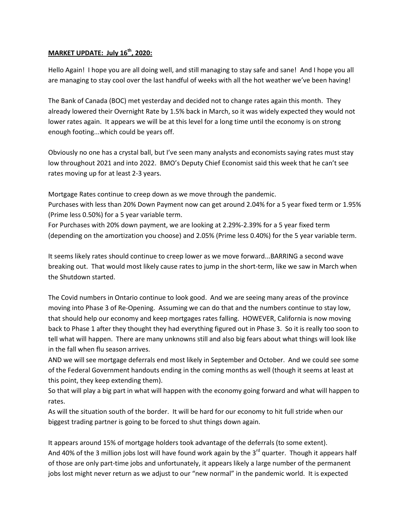## **MARKET UPDATE: July 16 th, 2020:**

Hello Again! I hope you are all doing well, and still managing to stay safe and sane! And I hope you all are managing to stay cool over the last handful of weeks with all the hot weather we've been having!

The Bank of Canada (BOC) met yesterday and decided not to change rates again this month. They already lowered their Overnight Rate by 1.5% back in March, so it was widely expected they would not lower rates again. It appears we will be at this level for a long time until the economy is on strong enough footing...which could be years off.

Obviously no one has a crystal ball, but I've seen many analysts and economists saying rates must stay low throughout 2021 and into 2022. BMO's Deputy Chief Economist said this week that he can't see rates moving up for at least 2-3 years.

Mortgage Rates continue to creep down as we move through the pandemic.

Purchases with less than 20% Down Payment now can get around 2.04% for a 5 year fixed term or 1.95% (Prime less 0.50%) for a 5 year variable term.

For Purchases with 20% down payment, we are looking at 2.29%-2.39% for a 5 year fixed term (depending on the amortization you choose) and 2.05% (Prime less 0.40%) for the 5 year variable term.

It seems likely rates should continue to creep lower as we move forward...BARRING a second wave breaking out. That would most likely cause rates to jump in the short-term, like we saw in March when the Shutdown started.

The Covid numbers in Ontario continue to look good. And we are seeing many areas of the province moving into Phase 3 of Re-Opening. Assuming we can do that and the numbers continue to stay low, that should help our economy and keep mortgages rates falling. HOWEVER, California is now moving back to Phase 1 after they thought they had everything figured out in Phase 3. So it is really too soon to tell what will happen. There are many unknowns still and also big fears about what things will look like in the fall when flu season arrives.

AND we will see mortgage deferrals end most likely in September and October. And we could see some of the Federal Government handouts ending in the coming months as well (though it seems at least at this point, they keep extending them).

So that will play a big part in what will happen with the economy going forward and what will happen to rates.

As will the situation south of the border. It will be hard for our economy to hit full stride when our biggest trading partner is going to be forced to shut things down again.

It appears around 15% of mortgage holders took advantage of the deferrals (to some extent). And 40% of the 3 million jobs lost will have found work again by the 3<sup>rd</sup> quarter. Though it appears half of those are only part-time jobs and unfortunately, it appears likely a large number of the permanent jobs lost might never return as we adjust to our "new normal" in the pandemic world. It is expected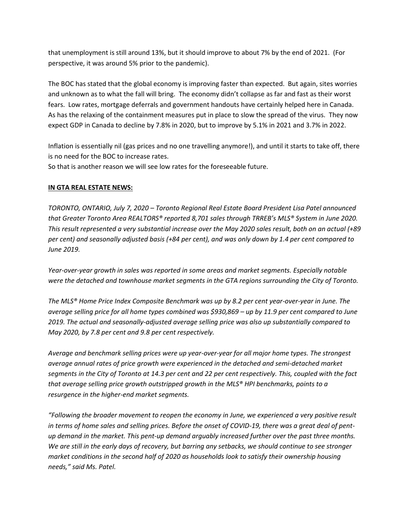that unemployment is still around 13%, but it should improve to about 7% by the end of 2021. (For perspective, it was around 5% prior to the pandemic).

The BOC has stated that the global economy is improving faster than expected. But again, sites worries and unknown as to what the fall will bring. The economy didn't collapse as far and fast as their worst fears. Low rates, mortgage deferrals and government handouts have certainly helped here in Canada. As has the relaxing of the containment measures put in place to slow the spread of the virus. They now expect GDP in Canada to decline by 7.8% in 2020, but to improve by 5.1% in 2021 and 3.7% in 2022.

Inflation is essentially nil (gas prices and no one travelling anymore!), and until it starts to take off, there is no need for the BOC to increase rates. So that is another reason we will see low rates for the foreseeable future.

## **IN GTA REAL ESTATE NEWS:**

*TORONTO, ONTARIO, July 7, 2020 – Toronto Regional Real Estate Board President Lisa Patel announced that Greater Toronto Area REALTORS® reported 8,701 sales through TRREB's MLS® System in June 2020. This result represented a very substantial increase over the May 2020 sales result, both on an actual (+89 per cent) and seasonally adjusted basis (+84 per cent), and was only down by 1.4 per cent compared to June 2019.* 

*Year-over-year growth in sales was reported in some areas and market segments. Especially notable were the detached and townhouse market segments in the GTA regions surrounding the City of Toronto.* 

*The MLS® Home Price Index Composite Benchmark was up by 8.2 per cent year-over-year in June. The average selling price for all home types combined was \$930,869 – up by 11.9 per cent compared to June 2019. The actual and seasonally-adjusted average selling price was also up substantially compared to May 2020, by 7.8 per cent and 9.8 per cent respectively.* 

*Average and benchmark selling prices were up year-over-year for all major home types. The strongest average annual rates of price growth were experienced in the detached and semi-detached market segments in the City of Toronto at 14.3 per cent and 22 per cent respectively. This, coupled with the fact that average selling price growth outstripped growth in the MLS® HPI benchmarks, points to a resurgence in the higher-end market segments.* 

*"Following the broader movement to reopen the economy in June, we experienced a very positive result in terms of home sales and selling prices. Before the onset of COVID-19, there was a great deal of pentup demand in the market. This pent-up demand arguably increased further over the past three months. We are still in the early days of recovery, but barring any setbacks, we should continue to see stronger market conditions in the second half of 2020 as households look to satisfy their ownership housing needs," said Ms. Patel.*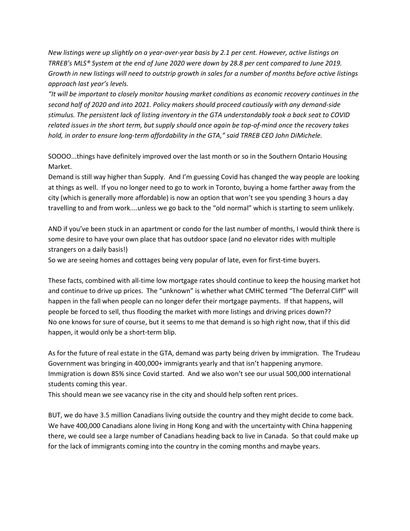*New listings were up slightly on a year-over-year basis by 2.1 per cent. However, active listings on TRREB's MLS® System at the end of June 2020 were down by 28.8 per cent compared to June 2019. Growth in new listings will need to outstrip growth in sales for a number of months before active listings approach last year's levels.* 

*"It will be important to closely monitor housing market conditions as economic recovery continues in the second half of 2020 and into 2021. Policy makers should proceed cautiously with any demand-side stimulus. The persistent lack of listing inventory in the GTA understandably took a back seat to COVID related issues in the short term, but supply should once again be top-of-mind once the recovery takes hold, in order to ensure long-term affordability in the GTA," said TRREB CEO John DiMichele.*

SOOOO...things have definitely improved over the last month or so in the Southern Ontario Housing Market.

Demand is still way higher than Supply. And I'm guessing Covid has changed the way people are looking at things as well. If you no longer need to go to work in Toronto, buying a home farther away from the city (which is generally more affordable) is now an option that won't see you spending 3 hours a day travelling to and from work....unless we go back to the "old normal" which is starting to seem unlikely.

AND if you've been stuck in an apartment or condo for the last number of months, I would think there is some desire to have your own place that has outdoor space (and no elevator rides with multiple strangers on a daily basis!)

So we are seeing homes and cottages being very popular of late, even for first-time buyers.

These facts, combined with all-time low mortgage rates should continue to keep the housing market hot and continue to drive up prices. The "unknown" is whether what CMHC termed "The Deferral Cliff" will happen in the fall when people can no longer defer their mortgage payments. If that happens, will people be forced to sell, thus flooding the market with more listings and driving prices down?? No one knows for sure of course, but it seems to me that demand is so high right now, that if this did happen, it would only be a short-term blip.

As for the future of real estate in the GTA, demand was party being driven by immigration. The Trudeau Government was bringing in 400,000+ immigrants yearly and that isn't happening anymore. Immigration is down 85% since Covid started. And we also won't see our usual 500,000 international students coming this year.

This should mean we see vacancy rise in the city and should help soften rent prices.

BUT, we do have 3.5 million Canadians living outside the country and they might decide to come back. We have 400,000 Canadians alone living in Hong Kong and with the uncertainty with China happening there, we could see a large number of Canadians heading back to live in Canada. So that could make up for the lack of immigrants coming into the country in the coming months and maybe years.